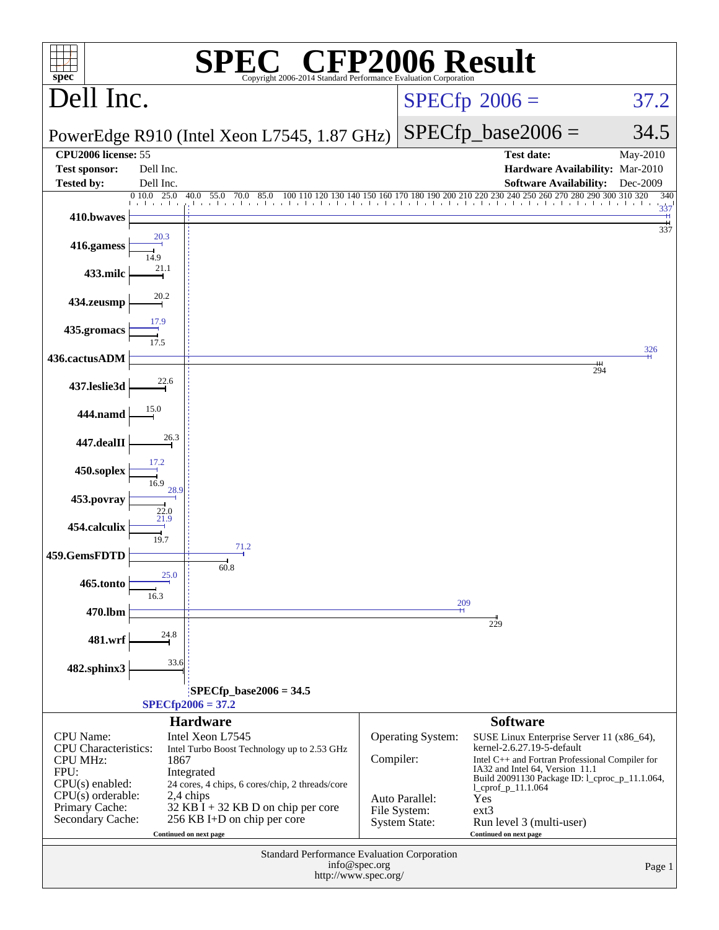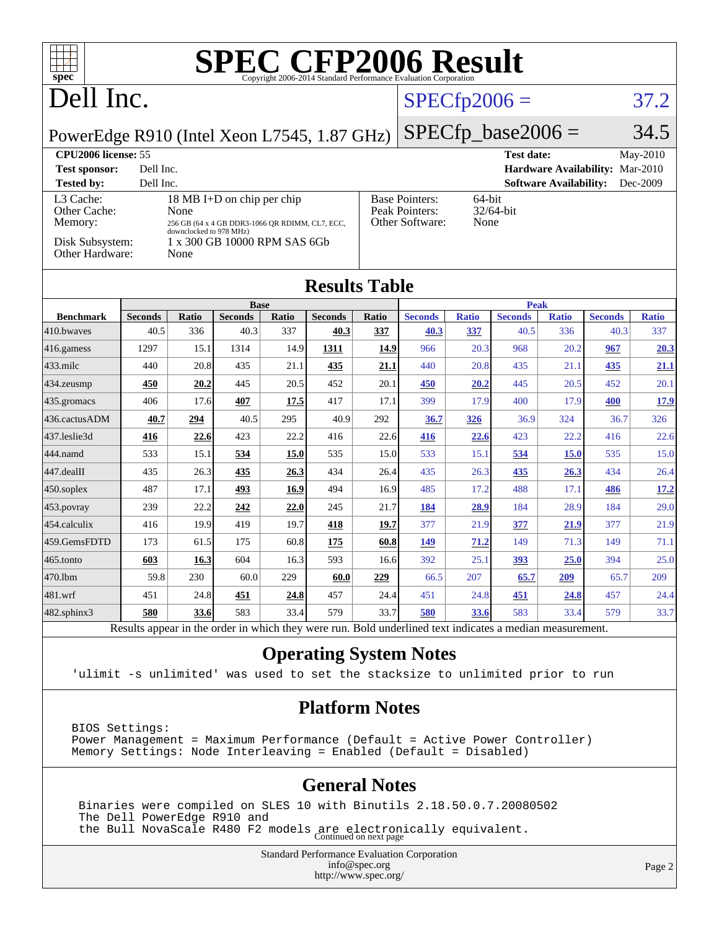| $\Box$<br>spec <sup>®</sup>                                                                                                                                                                                                                                                                                                         |                        |              |                        |              | <b>SPEC CFP2006 Result</b><br>Copyright 2006-2014 Standard Performance Evaluation Corporation            |                |                        |                     |                        |                               |                                 |                      |
|-------------------------------------------------------------------------------------------------------------------------------------------------------------------------------------------------------------------------------------------------------------------------------------------------------------------------------------|------------------------|--------------|------------------------|--------------|----------------------------------------------------------------------------------------------------------|----------------|------------------------|---------------------|------------------------|-------------------------------|---------------------------------|----------------------|
| Dell Inc.                                                                                                                                                                                                                                                                                                                           |                        |              |                        |              |                                                                                                          | $SPECfp2006 =$ |                        |                     | 37.2                   |                               |                                 |                      |
| PowerEdge R910 (Intel Xeon L7545, 1.87 GHz)                                                                                                                                                                                                                                                                                         |                        |              |                        |              |                                                                                                          |                |                        |                     | $SPECfp\_base2006 =$   |                               |                                 | 34.5                 |
| <b>CPU2006 license: 55</b><br><b>Test sponsor:</b><br><b>Tested by:</b>                                                                                                                                                                                                                                                             | Dell Inc.<br>Dell Inc. |              |                        |              |                                                                                                          |                |                        |                     | <b>Test date:</b>      | <b>Software Availability:</b> | Hardware Availability: Mar-2010 | May-2010<br>Dec-2009 |
| L3 Cache:<br>18 MB I+D on chip per chip<br><b>Base Pointers:</b><br>64-bit<br>Peak Pointers:<br>32/64-bit<br>Other Cache:<br>None<br>Other Software:<br>None<br>Memory:<br>256 GB (64 x 4 GB DDR3-1066 QR RDIMM, CL7, ECC,<br>downclocked to 978 MHz)<br>Disk Subsystem:<br>1 x 300 GB 10000 RPM SAS 6Gb<br>Other Hardware:<br>None |                        |              |                        |              |                                                                                                          |                |                        |                     |                        |                               |                                 |                      |
| <b>Results Table</b>                                                                                                                                                                                                                                                                                                                |                        |              |                        |              |                                                                                                          |                |                        |                     |                        |                               |                                 |                      |
|                                                                                                                                                                                                                                                                                                                                     |                        |              | <b>Base</b>            |              |                                                                                                          |                |                        |                     | <b>Peak</b>            |                               |                                 |                      |
| <b>Benchmark</b><br>410.bwayes                                                                                                                                                                                                                                                                                                      | <b>Seconds</b><br>40.5 | Ratio<br>336 | <b>Seconds</b><br>40.3 | Ratio<br>337 | <b>Seconds</b><br>40.3                                                                                   | Ratio<br>337   | <b>Seconds</b><br>40.3 | <b>Ratio</b><br>337 | <b>Seconds</b><br>40.5 | <b>Ratio</b><br>336           | <b>Seconds</b><br>40.3          | <b>Ratio</b><br>337  |
| 416.gamess                                                                                                                                                                                                                                                                                                                          | 1297                   | 15.1         | 1314                   | 14.9         | 1311                                                                                                     | 14.9           | 966                    | 20.3                | 968                    | 20.2                          | 967                             | 20.3                 |
| $433$ .milc                                                                                                                                                                                                                                                                                                                         | 440                    | 20.8         | 435                    | 21.1         | 435                                                                                                      | 21.1           | 440                    | 20.8                | 435                    | 21.1                          | 435                             | 21.1                 |
| $434$ . zeusmp                                                                                                                                                                                                                                                                                                                      | 450                    | 20.2         | 445                    | 20.5         | 452                                                                                                      | 20.1           | 450                    | 20.2                | 445                    | 20.5                          | 452                             | 20.1                 |
| 435.gromacs                                                                                                                                                                                                                                                                                                                         | 406                    | 17.6         | 407                    | 17.5         | 417                                                                                                      | 17.1           | 399                    | 17.9                | 400                    | 17.9                          | 400                             | 17.9                 |
| 436.cactusADM                                                                                                                                                                                                                                                                                                                       | 40.7                   | 294          | 40.5                   | 295          | 40.9                                                                                                     | 292            | 36.7                   | 326                 | 36.9                   | 324                           | 36.7                            | 326                  |
| 437.leslie3d                                                                                                                                                                                                                                                                                                                        | 416                    | 22.6         | 423                    | 22.2         | 416                                                                                                      | 22.6           | 416                    | 22.6                | 423                    | 22.2                          | 416                             | 22.6                 |
| 444.namd                                                                                                                                                                                                                                                                                                                            | 533                    | 15.1         | 534                    | <b>15.0</b>  | 535                                                                                                      | 15.0           | 533                    | 15.1                | 534                    | <b>15.0</b>                   | 535                             | 15.0                 |
| $447$ .dealII                                                                                                                                                                                                                                                                                                                       | 435                    | 26.3         | 435                    | 26.3         | 434                                                                                                      | 26.4           | 435                    | 26.3                | 435                    | 26.3                          | 434                             | 26.4                 |
| $ 450$ .soplex                                                                                                                                                                                                                                                                                                                      | 487                    | 17.1         | 493                    | 16.9         | 494                                                                                                      | 16.9           | 485                    | 17.2                | 488                    | 17.1                          | 486                             | <u>17.2</u>          |
| $453$ . povray                                                                                                                                                                                                                                                                                                                      | 239                    | 22.2         | 242                    | 22.0         | 245                                                                                                      | 21.7           | 184                    | 28.9                | 184                    | 28.9                          | 184                             | 29.0                 |
| 454.calculix                                                                                                                                                                                                                                                                                                                        | 416                    | 19.9         | 419                    | 19.7         | 418                                                                                                      | 19.7           | 377                    | 21.9                | 377                    | <u>21.9</u>                   | 377                             | 21.9                 |
| 459.GemsFDTD                                                                                                                                                                                                                                                                                                                        | 173                    | 61.5         | 175                    | 60.8         | 175                                                                                                      | 60.8           | 149                    | 71.2                | 149                    | 71.3                          | 149                             | 71.1                 |
| $465$ .tonto                                                                                                                                                                                                                                                                                                                        | 603                    | 16.3         | 604                    | 16.3         | 593                                                                                                      | 16.6           | 392                    | 25.1                | 393                    | 25.0                          | 394                             | 25.0                 |
| 470.1bm                                                                                                                                                                                                                                                                                                                             | 59.8                   | 230          | 60.0                   | 229          | 60.0                                                                                                     | 229            | 66.5                   | 207                 | 65.7                   | 209                           | 65.7                            | 209                  |
| 481.wrf                                                                                                                                                                                                                                                                                                                             | 451                    | 24.8         | 451                    | 24.8         | 457                                                                                                      | 24.4           | 451                    | 24.8                | 451                    | 24.8                          | 457                             | 24.4                 |
| $482$ .sphinx $3$                                                                                                                                                                                                                                                                                                                   | 580                    | 33.6         | 583                    | 33.4         | 579                                                                                                      | 33.7           | 580                    | 33.6                | 583                    | 33.4                          | 579                             | 33.7                 |
|                                                                                                                                                                                                                                                                                                                                     |                        |              |                        |              | Results appear in the order in which they were run. Bold underlined text indicates a median measurement. |                |                        |                     |                        |                               |                                 |                      |

### **[Operating System Notes](http://www.spec.org/auto/cpu2006/Docs/result-fields.html#OperatingSystemNotes)**

'ulimit -s unlimited' was used to set the stacksize to unlimited prior to run

### **[Platform Notes](http://www.spec.org/auto/cpu2006/Docs/result-fields.html#PlatformNotes)**

BIOS Settings: Power Management = Maximum Performance (Default = Active Power Controller) Memory Settings: Node Interleaving = Enabled (Default = Disabled)

### **[General Notes](http://www.spec.org/auto/cpu2006/Docs/result-fields.html#GeneralNotes)**

 Binaries were compiled on SLES 10 with Binutils 2.18.50.0.7.20080502 The Dell PowerEdge R910 and the Bull NovaScale R480 F2 models are electronically equivalent. Continued on next page

> Standard Performance Evaluation Corporation [info@spec.org](mailto:info@spec.org) <http://www.spec.org/>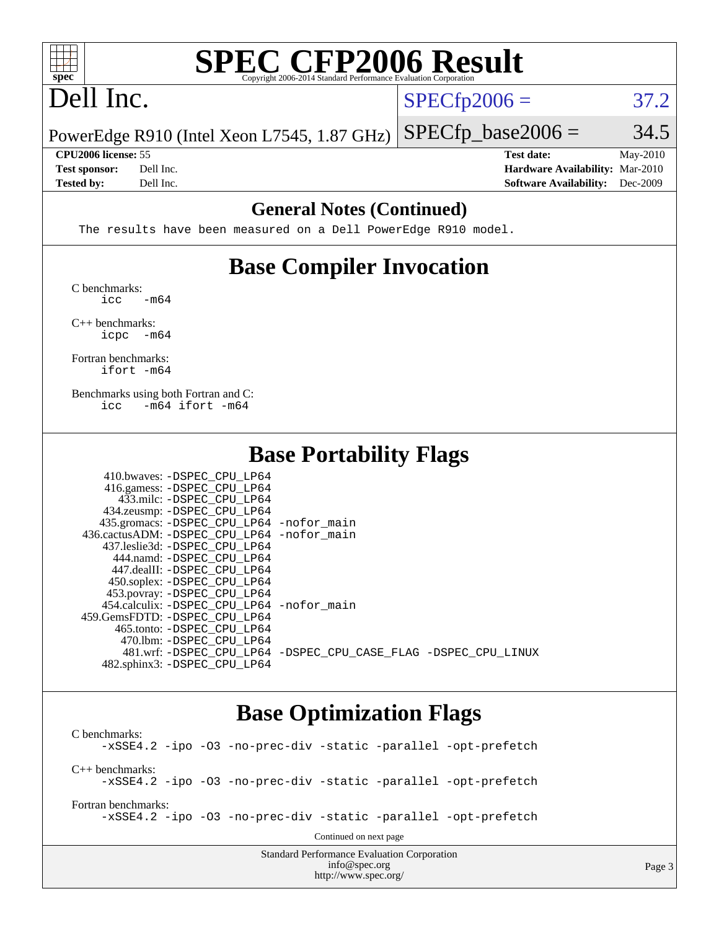

# **[SPEC CFP2006 Result](http://www.spec.org/auto/cpu2006/Docs/result-fields.html#SPECCFP2006Result)**

# Dell Inc.

 $SPECTp2006 = 37.2$ 

Page 3

PowerEdge R910 (Intel Xeon L7545, 1.87 GHz)  $SPECTp\_base2006 = 34.5$ 

**[Tested by:](http://www.spec.org/auto/cpu2006/Docs/result-fields.html#Testedby)** Dell Inc. **[Software Availability:](http://www.spec.org/auto/cpu2006/Docs/result-fields.html#SoftwareAvailability)** Dec-2009

**[CPU2006 license:](http://www.spec.org/auto/cpu2006/Docs/result-fields.html#CPU2006license)** 55 **[Test date:](http://www.spec.org/auto/cpu2006/Docs/result-fields.html#Testdate)** May-2010 **[Test sponsor:](http://www.spec.org/auto/cpu2006/Docs/result-fields.html#Testsponsor)** Dell Inc. **[Hardware Availability:](http://www.spec.org/auto/cpu2006/Docs/result-fields.html#HardwareAvailability)** Mar-2010

### **[General Notes \(Continued\)](http://www.spec.org/auto/cpu2006/Docs/result-fields.html#GeneralNotes)**

The results have been measured on a Dell PowerEdge R910 model.

## **[Base Compiler Invocation](http://www.spec.org/auto/cpu2006/Docs/result-fields.html#BaseCompilerInvocation)**

[C benchmarks](http://www.spec.org/auto/cpu2006/Docs/result-fields.html#Cbenchmarks):  $\text{icc}$   $-\text{m64}$ 

[C++ benchmarks:](http://www.spec.org/auto/cpu2006/Docs/result-fields.html#CXXbenchmarks) [icpc -m64](http://www.spec.org/cpu2006/results/res2010q3/cpu2006-20100621-11934.flags.html#user_CXXbase_intel_icpc_64bit_bedb90c1146cab66620883ef4f41a67e)

[Fortran benchmarks](http://www.spec.org/auto/cpu2006/Docs/result-fields.html#Fortranbenchmarks): [ifort -m64](http://www.spec.org/cpu2006/results/res2010q3/cpu2006-20100621-11934.flags.html#user_FCbase_intel_ifort_64bit_ee9d0fb25645d0210d97eb0527dcc06e)

[Benchmarks using both Fortran and C](http://www.spec.org/auto/cpu2006/Docs/result-fields.html#BenchmarksusingbothFortranandC): [icc -m64](http://www.spec.org/cpu2006/results/res2010q3/cpu2006-20100621-11934.flags.html#user_CC_FCbase_intel_icc_64bit_0b7121f5ab7cfabee23d88897260401c) [ifort -m64](http://www.spec.org/cpu2006/results/res2010q3/cpu2006-20100621-11934.flags.html#user_CC_FCbase_intel_ifort_64bit_ee9d0fb25645d0210d97eb0527dcc06e)

### **[Base Portability Flags](http://www.spec.org/auto/cpu2006/Docs/result-fields.html#BasePortabilityFlags)**

| 410.bwaves: -DSPEC CPU LP64                |                                                                |
|--------------------------------------------|----------------------------------------------------------------|
| 416.gamess: -DSPEC_CPU_LP64                |                                                                |
| 433.milc: -DSPEC CPU LP64                  |                                                                |
| 434.zeusmp: -DSPEC_CPU_LP64                |                                                                |
| 435.gromacs: -DSPEC_CPU_LP64 -nofor_main   |                                                                |
| 436.cactusADM: -DSPEC CPU LP64 -nofor main |                                                                |
| 437.leslie3d: -DSPEC CPU LP64              |                                                                |
| 444.namd: -DSPEC CPU LP64                  |                                                                |
| 447.dealII: -DSPEC CPU LP64                |                                                                |
| 450.soplex: -DSPEC_CPU_LP64                |                                                                |
| 453.povray: -DSPEC_CPU_LP64                |                                                                |
| 454.calculix: -DSPEC CPU LP64 -nofor main  |                                                                |
| 459. GemsFDTD: - DSPEC CPU LP64            |                                                                |
| 465.tonto: -DSPEC CPU LP64                 |                                                                |
| 470.1bm: - DSPEC CPU LP64                  |                                                                |
|                                            | 481.wrf: -DSPEC CPU_LP64 -DSPEC_CPU_CASE_FLAG -DSPEC_CPU_LINUX |
| 482.sphinx3: -DSPEC CPU LP64               |                                                                |

### **[Base Optimization Flags](http://www.spec.org/auto/cpu2006/Docs/result-fields.html#BaseOptimizationFlags)**

<http://www.spec.org/>

Standard Performance Evaluation Corporation [info@spec.org](mailto:info@spec.org) [C benchmarks](http://www.spec.org/auto/cpu2006/Docs/result-fields.html#Cbenchmarks): [-xSSE4.2](http://www.spec.org/cpu2006/results/res2010q3/cpu2006-20100621-11934.flags.html#user_CCbase_f-xSSE42_f91528193cf0b216347adb8b939d4107) [-ipo](http://www.spec.org/cpu2006/results/res2010q3/cpu2006-20100621-11934.flags.html#user_CCbase_f-ipo) [-O3](http://www.spec.org/cpu2006/results/res2010q3/cpu2006-20100621-11934.flags.html#user_CCbase_f-O3) [-no-prec-div](http://www.spec.org/cpu2006/results/res2010q3/cpu2006-20100621-11934.flags.html#user_CCbase_f-no-prec-div) [-static](http://www.spec.org/cpu2006/results/res2010q3/cpu2006-20100621-11934.flags.html#user_CCbase_f-static) [-parallel](http://www.spec.org/cpu2006/results/res2010q3/cpu2006-20100621-11934.flags.html#user_CCbase_f-parallel) [-opt-prefetch](http://www.spec.org/cpu2006/results/res2010q3/cpu2006-20100621-11934.flags.html#user_CCbase_f-opt-prefetch) [C++ benchmarks:](http://www.spec.org/auto/cpu2006/Docs/result-fields.html#CXXbenchmarks) [-xSSE4.2](http://www.spec.org/cpu2006/results/res2010q3/cpu2006-20100621-11934.flags.html#user_CXXbase_f-xSSE42_f91528193cf0b216347adb8b939d4107) [-ipo](http://www.spec.org/cpu2006/results/res2010q3/cpu2006-20100621-11934.flags.html#user_CXXbase_f-ipo) [-O3](http://www.spec.org/cpu2006/results/res2010q3/cpu2006-20100621-11934.flags.html#user_CXXbase_f-O3) [-no-prec-div](http://www.spec.org/cpu2006/results/res2010q3/cpu2006-20100621-11934.flags.html#user_CXXbase_f-no-prec-div) [-static](http://www.spec.org/cpu2006/results/res2010q3/cpu2006-20100621-11934.flags.html#user_CXXbase_f-static) [-parallel](http://www.spec.org/cpu2006/results/res2010q3/cpu2006-20100621-11934.flags.html#user_CXXbase_f-parallel) [-opt-prefetch](http://www.spec.org/cpu2006/results/res2010q3/cpu2006-20100621-11934.flags.html#user_CXXbase_f-opt-prefetch) [Fortran benchmarks](http://www.spec.org/auto/cpu2006/Docs/result-fields.html#Fortranbenchmarks): [-xSSE4.2](http://www.spec.org/cpu2006/results/res2010q3/cpu2006-20100621-11934.flags.html#user_FCbase_f-xSSE42_f91528193cf0b216347adb8b939d4107) [-ipo](http://www.spec.org/cpu2006/results/res2010q3/cpu2006-20100621-11934.flags.html#user_FCbase_f-ipo) [-O3](http://www.spec.org/cpu2006/results/res2010q3/cpu2006-20100621-11934.flags.html#user_FCbase_f-O3) [-no-prec-div](http://www.spec.org/cpu2006/results/res2010q3/cpu2006-20100621-11934.flags.html#user_FCbase_f-no-prec-div) [-static](http://www.spec.org/cpu2006/results/res2010q3/cpu2006-20100621-11934.flags.html#user_FCbase_f-static) [-parallel](http://www.spec.org/cpu2006/results/res2010q3/cpu2006-20100621-11934.flags.html#user_FCbase_f-parallel) [-opt-prefetch](http://www.spec.org/cpu2006/results/res2010q3/cpu2006-20100621-11934.flags.html#user_FCbase_f-opt-prefetch) Continued on next page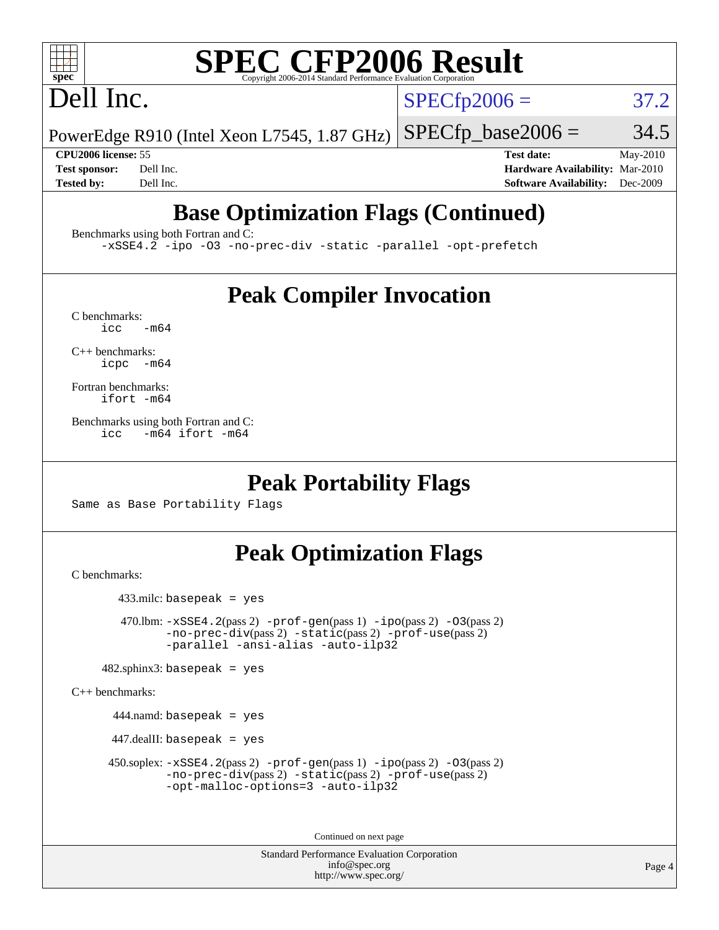# **[SPEC CFP2006 Result](http://www.spec.org/auto/cpu2006/Docs/result-fields.html#SPECCFP2006Result)**

# Dell Inc.

 $SPECTp2006 = 37.2$ 

PowerEdge R910 (Intel Xeon L7545, 1.87 GHz)  $SPECTp\_base2006 = 34.5$ 

**[CPU2006 license:](http://www.spec.org/auto/cpu2006/Docs/result-fields.html#CPU2006license)** 55 **[Test date:](http://www.spec.org/auto/cpu2006/Docs/result-fields.html#Testdate)** May-2010 **[Test sponsor:](http://www.spec.org/auto/cpu2006/Docs/result-fields.html#Testsponsor)** Dell Inc. **[Hardware Availability:](http://www.spec.org/auto/cpu2006/Docs/result-fields.html#HardwareAvailability)** Mar-2010 **[Tested by:](http://www.spec.org/auto/cpu2006/Docs/result-fields.html#Testedby)** Dell Inc. **[Software Availability:](http://www.spec.org/auto/cpu2006/Docs/result-fields.html#SoftwareAvailability)** Dec-2009

# **[Base Optimization Flags \(Continued\)](http://www.spec.org/auto/cpu2006/Docs/result-fields.html#BaseOptimizationFlags)**

[Benchmarks using both Fortran and C](http://www.spec.org/auto/cpu2006/Docs/result-fields.html#BenchmarksusingbothFortranandC):

[-xSSE4.2](http://www.spec.org/cpu2006/results/res2010q3/cpu2006-20100621-11934.flags.html#user_CC_FCbase_f-xSSE42_f91528193cf0b216347adb8b939d4107) [-ipo](http://www.spec.org/cpu2006/results/res2010q3/cpu2006-20100621-11934.flags.html#user_CC_FCbase_f-ipo) [-O3](http://www.spec.org/cpu2006/results/res2010q3/cpu2006-20100621-11934.flags.html#user_CC_FCbase_f-O3) [-no-prec-div](http://www.spec.org/cpu2006/results/res2010q3/cpu2006-20100621-11934.flags.html#user_CC_FCbase_f-no-prec-div) [-static](http://www.spec.org/cpu2006/results/res2010q3/cpu2006-20100621-11934.flags.html#user_CC_FCbase_f-static) [-parallel](http://www.spec.org/cpu2006/results/res2010q3/cpu2006-20100621-11934.flags.html#user_CC_FCbase_f-parallel) [-opt-prefetch](http://www.spec.org/cpu2006/results/res2010q3/cpu2006-20100621-11934.flags.html#user_CC_FCbase_f-opt-prefetch)

## **[Peak Compiler Invocation](http://www.spec.org/auto/cpu2006/Docs/result-fields.html#PeakCompilerInvocation)**

 $C$  benchmarks:<br>icc  $-m64$ 

[C++ benchmarks:](http://www.spec.org/auto/cpu2006/Docs/result-fields.html#CXXbenchmarks) [icpc -m64](http://www.spec.org/cpu2006/results/res2010q3/cpu2006-20100621-11934.flags.html#user_CXXpeak_intel_icpc_64bit_bedb90c1146cab66620883ef4f41a67e)

[Fortran benchmarks](http://www.spec.org/auto/cpu2006/Docs/result-fields.html#Fortranbenchmarks): [ifort -m64](http://www.spec.org/cpu2006/results/res2010q3/cpu2006-20100621-11934.flags.html#user_FCpeak_intel_ifort_64bit_ee9d0fb25645d0210d97eb0527dcc06e)

[Benchmarks using both Fortran and C](http://www.spec.org/auto/cpu2006/Docs/result-fields.html#BenchmarksusingbothFortranandC): [icc -m64](http://www.spec.org/cpu2006/results/res2010q3/cpu2006-20100621-11934.flags.html#user_CC_FCpeak_intel_icc_64bit_0b7121f5ab7cfabee23d88897260401c) [ifort -m64](http://www.spec.org/cpu2006/results/res2010q3/cpu2006-20100621-11934.flags.html#user_CC_FCpeak_intel_ifort_64bit_ee9d0fb25645d0210d97eb0527dcc06e)

### **[Peak Portability Flags](http://www.spec.org/auto/cpu2006/Docs/result-fields.html#PeakPortabilityFlags)**

Same as Base Portability Flags

## **[Peak Optimization Flags](http://www.spec.org/auto/cpu2006/Docs/result-fields.html#PeakOptimizationFlags)**

[C benchmarks](http://www.spec.org/auto/cpu2006/Docs/result-fields.html#Cbenchmarks):

433.milc: basepeak = yes

470.1bm:  $-xSSE4$ . 2(pass 2)  $-prof-gen(pass 1) -ipo(pass 2) -O3(pass 2)$  $-prof-gen(pass 1) -ipo(pass 2) -O3(pass 2)$  $-prof-gen(pass 1) -ipo(pass 2) -O3(pass 2)$  $-prof-gen(pass 1) -ipo(pass 2) -O3(pass 2)$  $-prof-gen(pass 1) -ipo(pass 2) -O3(pass 2)$  $-prof-gen(pass 1) -ipo(pass 2) -O3(pass 2)$ [-no-prec-div](http://www.spec.org/cpu2006/results/res2010q3/cpu2006-20100621-11934.flags.html#user_peakPASS2_CFLAGSPASS2_LDFLAGS470_lbm_f-no-prec-div)(pass 2) [-static](http://www.spec.org/cpu2006/results/res2010q3/cpu2006-20100621-11934.flags.html#user_peakPASS2_CFLAGSPASS2_LDFLAGS470_lbm_f-static)(pass 2) [-prof-use](http://www.spec.org/cpu2006/results/res2010q3/cpu2006-20100621-11934.flags.html#user_peakPASS2_CFLAGSPASS2_LDFLAGS470_lbm_prof_use_bccf7792157ff70d64e32fe3e1250b55)(pass 2) [-parallel](http://www.spec.org/cpu2006/results/res2010q3/cpu2006-20100621-11934.flags.html#user_peakOPTIMIZE470_lbm_f-parallel) [-ansi-alias](http://www.spec.org/cpu2006/results/res2010q3/cpu2006-20100621-11934.flags.html#user_peakOPTIMIZE470_lbm_f-ansi-alias) [-auto-ilp32](http://www.spec.org/cpu2006/results/res2010q3/cpu2006-20100621-11934.flags.html#user_peakCOPTIMIZE470_lbm_f-auto-ilp32)

 $482$ .sphinx3: basepeak = yes

[C++ benchmarks:](http://www.spec.org/auto/cpu2006/Docs/result-fields.html#CXXbenchmarks)

444.namd: basepeak = yes

447.dealII: basepeak = yes

 450.soplex: [-xSSE4.2](http://www.spec.org/cpu2006/results/res2010q3/cpu2006-20100621-11934.flags.html#user_peakPASS2_CXXFLAGSPASS2_LDFLAGS450_soplex_f-xSSE42_f91528193cf0b216347adb8b939d4107)(pass 2) [-prof-gen](http://www.spec.org/cpu2006/results/res2010q3/cpu2006-20100621-11934.flags.html#user_peakPASS1_CXXFLAGSPASS1_LDFLAGS450_soplex_prof_gen_e43856698f6ca7b7e442dfd80e94a8fc)(pass 1) [-ipo](http://www.spec.org/cpu2006/results/res2010q3/cpu2006-20100621-11934.flags.html#user_peakPASS2_CXXFLAGSPASS2_LDFLAGS450_soplex_f-ipo)(pass 2) [-O3](http://www.spec.org/cpu2006/results/res2010q3/cpu2006-20100621-11934.flags.html#user_peakPASS2_CXXFLAGSPASS2_LDFLAGS450_soplex_f-O3)(pass 2) [-no-prec-div](http://www.spec.org/cpu2006/results/res2010q3/cpu2006-20100621-11934.flags.html#user_peakPASS2_CXXFLAGSPASS2_LDFLAGS450_soplex_f-no-prec-div)(pass 2) [-static](http://www.spec.org/cpu2006/results/res2010q3/cpu2006-20100621-11934.flags.html#user_peakPASS2_CXXFLAGSPASS2_LDFLAGS450_soplex_f-static)(pass 2) [-prof-use](http://www.spec.org/cpu2006/results/res2010q3/cpu2006-20100621-11934.flags.html#user_peakPASS2_CXXFLAGSPASS2_LDFLAGS450_soplex_prof_use_bccf7792157ff70d64e32fe3e1250b55)(pass 2) [-opt-malloc-options=3](http://www.spec.org/cpu2006/results/res2010q3/cpu2006-20100621-11934.flags.html#user_peakOPTIMIZE450_soplex_f-opt-malloc-options_13ab9b803cf986b4ee62f0a5998c2238) [-auto-ilp32](http://www.spec.org/cpu2006/results/res2010q3/cpu2006-20100621-11934.flags.html#user_peakCXXOPTIMIZE450_soplex_f-auto-ilp32)

Continued on next page

Standard Performance Evaluation Corporation [info@spec.org](mailto:info@spec.org) <http://www.spec.org/>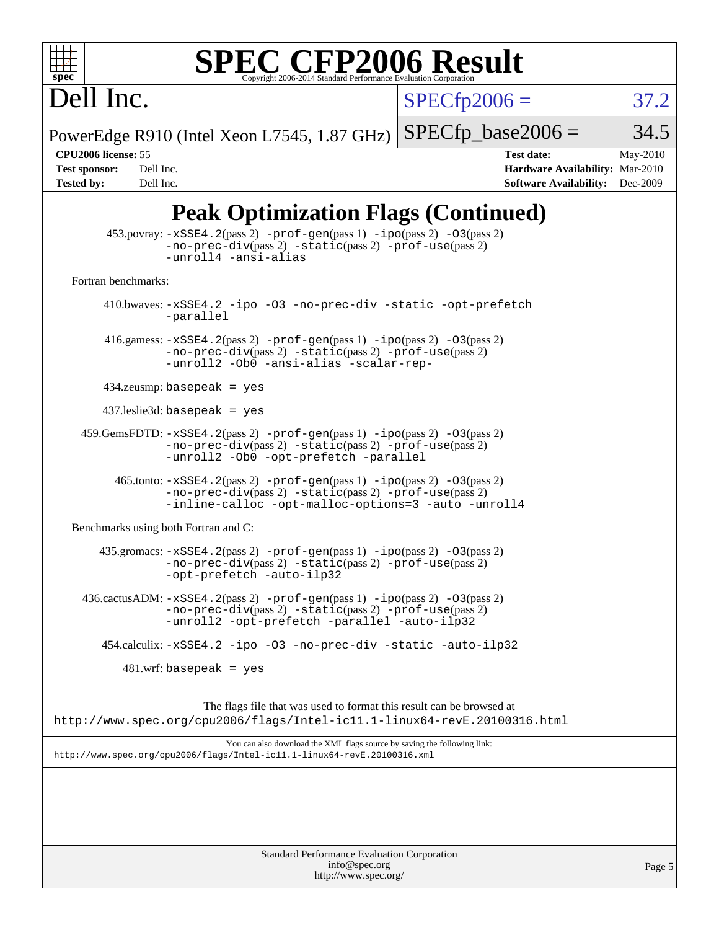

# **[SPEC CFP2006 Result](http://www.spec.org/auto/cpu2006/Docs/result-fields.html#SPECCFP2006Result)**

 $SPECfp2006 = 37.2$  $SPECfp2006 = 37.2$ 

PowerEdge R910 (Intel Xeon L7545, 1.87 GHz)  $SPECfp\_base2006 = 34.5$ 

Dell Inc.

**[CPU2006 license:](http://www.spec.org/auto/cpu2006/Docs/result-fields.html#CPU2006license)** 55 **[Test date:](http://www.spec.org/auto/cpu2006/Docs/result-fields.html#Testdate)** May-2010 **[Test sponsor:](http://www.spec.org/auto/cpu2006/Docs/result-fields.html#Testsponsor)** Dell Inc. **[Hardware Availability:](http://www.spec.org/auto/cpu2006/Docs/result-fields.html#HardwareAvailability)** Mar-2010 **[Tested by:](http://www.spec.org/auto/cpu2006/Docs/result-fields.html#Testedby)** Dell Inc. **[Software Availability:](http://www.spec.org/auto/cpu2006/Docs/result-fields.html#SoftwareAvailability)** Dec-2009

# **[Peak Optimization Flags \(Continued\)](http://www.spec.org/auto/cpu2006/Docs/result-fields.html#PeakOptimizationFlags)**

|                                      | $453.$ povray: $-xSSE4$ . $2(pass 2)$ -prof-gen(pass 1) -ipo(pass 2) -03(pass 2)<br>$-no\text{-prec-div}(pass 2)$ $-static(pass 2)$ $-prot\text{-use}(pass 2)$<br>-unroll4 -ansi-alias           |          |
|--------------------------------------|--------------------------------------------------------------------------------------------------------------------------------------------------------------------------------------------------|----------|
| Fortran benchmarks:                  |                                                                                                                                                                                                  |          |
|                                      | 410.bwaves: -xSSE4.2 -ipo -03 -no-prec-div -static -opt-prefetch<br>-parallel                                                                                                                    |          |
|                                      | 416.gamess: $-xSSE4$ . 2(pass 2) $-prof-gen(pass 1) -ipo(pass 2) -O3(pass 2)$<br>-no-prec-div(pass 2) -static(pass 2) -prof-use(pass 2)<br>-unroll2 -Ob0 -ansi-alias -scalar-rep-                |          |
|                                      | $434$ .zeusmp: basepeak = yes                                                                                                                                                                    |          |
|                                      | $437$ .leslie3d: basepeak = yes                                                                                                                                                                  |          |
|                                      | 459. GemsFDTD: -xSSE4. 2(pass 2) -prof-gen(pass 1) -ipo(pass 2) -03(pass 2)<br>$-no-prec-div(pass 2) -static(pass 2) -prof-use(pass 2)$<br>-unroll2 -Ob0 -opt-prefetch -parallel                 |          |
|                                      | $465$ .tonto: $-xSSE4$ . $2(pass 2)$ -prof-gen(pass 1) -ipo(pass 2) -03(pass 2)<br>-no-prec-div(pass 2) -static(pass 2) -prof-use(pass 2)<br>-inline-calloc -opt-malloc-options=3 -auto -unroll4 |          |
| Benchmarks using both Fortran and C: |                                                                                                                                                                                                  |          |
|                                      | $435$ .gromacs: $-xSSE4$ . 2(pass 2) $-prof-gen(pass 1) -ipo(pass 2) -03(pass 2)$<br>-no-prec-div(pass 2) -static(pass 2) -prof-use(pass 2)<br>-opt-prefetch -auto-ilp32                         |          |
|                                      | 436.cactusADM: -xSSE4.2(pass 2) -prof-gen(pass 1) -ipo(pass 2) -03(pass 2)<br>-no-prec-div(pass 2) -static(pass 2) -prof-use(pass 2)<br>-unroll2 -opt-prefetch -parallel -auto-ilp32             |          |
|                                      | 454.calculix: -xSSE4.2 -ipo -03 -no-prec-div -static -auto-ilp32                                                                                                                                 |          |
|                                      | $481.wrf$ : basepeak = yes                                                                                                                                                                       |          |
|                                      | The flags file that was used to format this result can be browsed at<br>http://www.spec.org/cpu2006/flags/Intel-ic11.1-linux64-revE.20100316.html                                                |          |
|                                      | You can also download the XML flags source by saving the following link:<br>http://www.spec.org/cpu2006/flags/Intel-ic11.1-linux64-revE.20100316.xml                                             |          |
|                                      |                                                                                                                                                                                                  |          |
|                                      |                                                                                                                                                                                                  |          |
|                                      |                                                                                                                                                                                                  |          |
|                                      | Standard Performance Evaluation Corporation<br>info@spec.org                                                                                                                                     | Page $5$ |

<http://www.spec.org/>